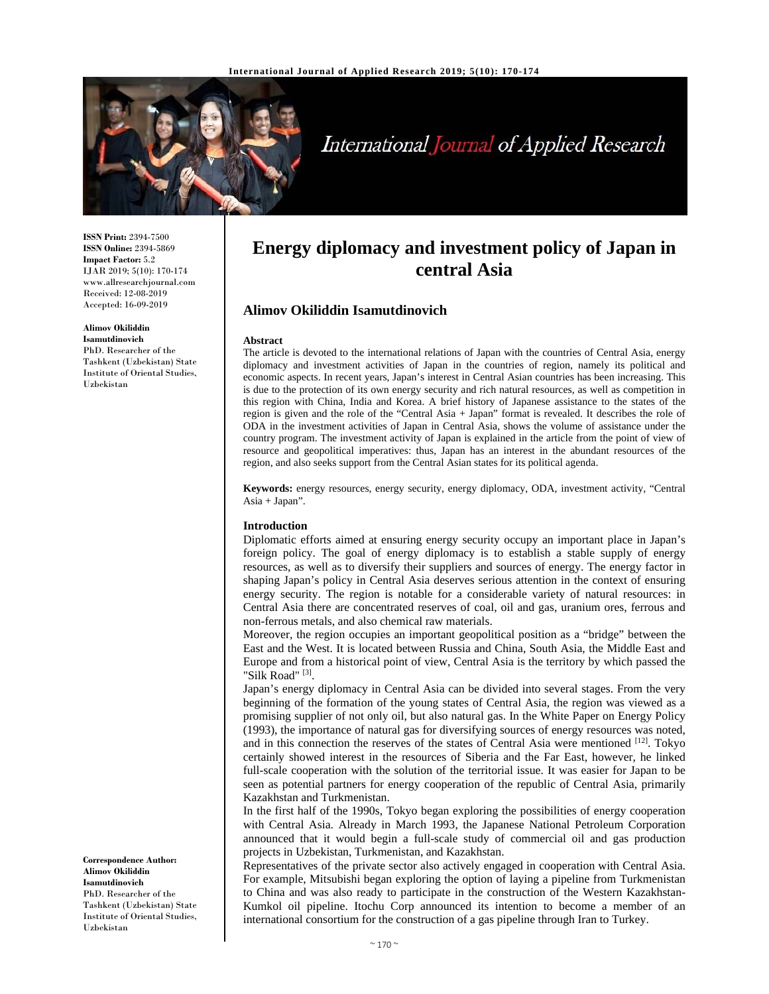

# International Journal of Applied Research

**Energy diplomacy and investment policy of Japan in central Asia**

The article is devoted to the international relations of Japan with the countries of Central Asia, energy diplomacy and investment activities of Japan in the countries of region, namely its political and economic aspects. In recent years, Japan's interest in Central Asian countries has been increasing. This is due to the protection of its own energy security and rich natural resources, as well as competition in this region with China, India and Korea. A brief history of Japanese assistance to the states of the region is given and the role of the "Central Asia + Japan" format is revealed. It describes the role of ODA in the investment activities of Japan in Central Asia, shows the volume of assistance under the country program. The investment activity of Japan is explained in the article from the point of view of resource and geopolitical imperatives: thus, Japan has an interest in the abundant resources of the

**Keywords:** energy resources, energy security, energy diplomacy, ODA, investment activity, "Central

Diplomatic efforts aimed at ensuring energy security occupy an important place in Japan's foreign policy. The goal of energy diplomacy is to establish a stable supply of energy resources, as well as to diversify their suppliers and sources of energy. The energy factor in shaping Japan's policy in Central Asia deserves serious attention in the context of ensuring energy security. The region is notable for a considerable variety of natural resources: in Central Asia there are concentrated reserves of coal, oil and gas, uranium ores, ferrous and

region, and also seeks support from the Central Asian states for its political agenda.

**ISSN Print:** 2394-7500 **ISSN Online:** 2394-5869 **Impact Factor:** 5.2 IJAR 2019; 5(10): 170-174 www.allresearchjournal.com Received: 12-08-2019 Accepted: 16-09-2019

#### **Alimov Okiliddin**

**Isamutdinovich**  PhD. Researcher of the Tashkent (Uzbekistan) State Institute of Oriental Studies, Uzbekistan

> non-ferrous metals, and also chemical raw materials. Moreover, the region occupies an important geopolitical position as a "bridge" between the East and the West. It is located between Russia and China, South Asia, the Middle East and Europe and from a historical point of view, Central Asia is the territory by which passed the "Silk Road" [3].

**Alimov Okiliddin Isamutdinovich** 

**Abstract** 

Asia + Japan". **Introduction** 

Japan's energy diplomacy in Central Asia can be divided into several stages. From the very beginning of the formation of the young states of Central Asia, the region was viewed as a promising supplier of not only oil, but also natural gas. In the White Paper on Energy Policy (1993), the importance of natural gas for diversifying sources of energy resources was noted, and in this connection the reserves of the states of Central Asia were mentioned [12]. Tokyo certainly showed interest in the resources of Siberia and the Far East, however, he linked full-scale cooperation with the solution of the territorial issue. It was easier for Japan to be seen as potential partners for energy cooperation of the republic of Central Asia, primarily Kazakhstan and Turkmenistan.

In the first half of the 1990s, Tokyo began exploring the possibilities of energy cooperation with Central Asia. Already in March 1993, the Japanese National Petroleum Corporation announced that it would begin a full-scale study of commercial oil and gas production projects in Uzbekistan, Turkmenistan, and Kazakhstan.

Representatives of the private sector also actively engaged in cooperation with Central Asia. For example, Mitsubishi began exploring the option of laying a pipeline from Turkmenistan to China and was also ready to participate in the construction of the Western Kazakhstan-Kumkol oil pipeline. Itochu Corp announced its intention to become a member of an international consortium for the construction of a gas pipeline through Iran to Turkey.

**Correspondence Author: Alimov Okiliddin Isamutdinovich**  PhD. Researcher of the Tashkent (Uzbekistan) State Institute of Oriental Studies, Uzbekistan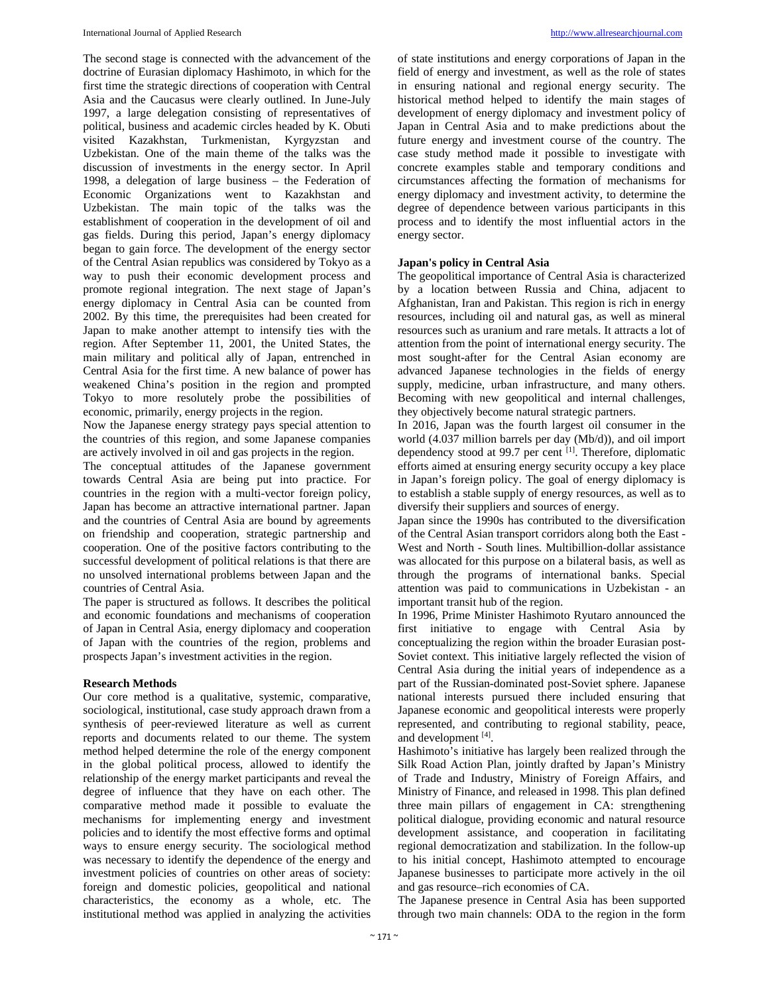The second stage is connected with the advancement of the doctrine of Eurasian diplomacy Hashimoto, in which for the first time the strategic directions of cooperation with Central Asia and the Caucasus were clearly outlined. In June-July 1997, a large delegation consisting of representatives of political, business and academic circles headed by K. Obuti visited Kazakhstan, Turkmenistan, Kyrgyzstan and Uzbekistan. One of the main theme of the talks was the discussion of investments in the energy sector. In April 1998, a delegation of large business – the Federation of Economic Organizations went to Kazakhstan and Uzbekistan. The main topic of the talks was the establishment of cooperation in the development of oil and gas fields. During this period, Japan's energy diplomacy began to gain force. The development of the energy sector of the Central Asian republics was considered by Tokyo as a way to push their economic development process and promote regional integration. The next stage of Japan's energy diplomacy in Central Asia can be counted from 2002. By this time, the prerequisites had been created for Japan to make another attempt to intensify ties with the region. After September 11, 2001, the United States, the main military and political ally of Japan, entrenched in Central Asia for the first time. A new balance of power has weakened China's position in the region and prompted Tokyo to more resolutely probe the possibilities of economic, primarily, energy projects in the region.

Now the Japanese energy strategy pays special attention to the countries of this region, and some Japanese companies are actively involved in oil and gas projects in the region.

The conceptual attitudes of the Japanese government towards Central Asia are being put into practice. For countries in the region with a multi-vector foreign policy, Japan has become an attractive international partner. Japan and the countries of Central Asia are bound by agreements on friendship and cooperation, strategic partnership and cooperation. One of the positive factors contributing to the successful development of political relations is that there are no unsolved international problems between Japan and the countries of Central Asia.

The paper is structured as follows. It describes the political and economic foundations and mechanisms of cooperation of Japan in Central Asia, energy diplomacy and cooperation of Japan with the countries of the region, problems and prospects Japan's investment activities in the region.

# **Research Methods**

Our core method is a qualitative, systemic, comparative, sociological, institutional, case study approach drawn from a synthesis of peer-reviewed literature as well as current reports and documents related to our theme. The system method helped determine the role of the energy component in the global political process, allowed to identify the relationship of the energy market participants and reveal the degree of influence that they have on each other. The comparative method made it possible to evaluate the mechanisms for implementing energy and investment policies and to identify the most effective forms and optimal ways to ensure energy security. The sociological method was necessary to identify the dependence of the energy and investment policies of countries on other areas of society: foreign and domestic policies, geopolitical and national characteristics, the economy as a whole, etc. The institutional method was applied in analyzing the activities

of state institutions and energy corporations of Japan in the field of energy and investment, as well as the role of states in ensuring national and regional energy security. The historical method helped to identify the main stages of development of energy diplomacy and investment policy of Japan in Central Asia and to make predictions about the future energy and investment course of the country. The case study method made it possible to investigate with concrete examples stable and temporary conditions and circumstances affecting the formation of mechanisms for energy diplomacy and investment activity, to determine the degree of dependence between various participants in this process and to identify the most influential actors in the energy sector.

### **Japan's policy in Central Asia**

The geopolitical importance of Central Asia is characterized by a location between Russia and China, adjacent to Afghanistan, Iran and Pakistan. This region is rich in energy resources, including oil and natural gas, as well as mineral resources such as uranium and rare metals. It attracts a lot of attention from the point of international energy security. The most sought-after for the Central Asian economy are advanced Japanese technologies in the fields of energy supply, medicine, urban infrastructure, and many others. Becoming with new geopolitical and internal challenges, they objectively become natural strategic partners.

In 2016, Japan was the fourth largest oil consumer in the world (4.037 million barrels per day (Mb/d)), and oil import dependency stood at 99.7 per cent [1]. Therefore, diplomatic efforts aimed at ensuring energy security occupy a key place in Japan's foreign policy. The goal of energy diplomacy is to establish a stable supply of energy resources, as well as to diversify their suppliers and sources of energy.

Japan since the 1990s has contributed to the diversification of the Central Asian transport corridors along both the East - West and North - South lines. Multibillion-dollar assistance was allocated for this purpose on a bilateral basis, as well as through the programs of international banks. Special attention was paid to communications in Uzbekistan - an important transit hub of the region.

In 1996, Prime Minister Hashimoto Ryutaro announced the first initiative to engage with Central Asia by conceptualizing the region within the broader Eurasian post-Soviet context. This initiative largely reflected the vision of Central Asia during the initial years of independence as a part of the Russian-dominated post-Soviet sphere. Japanese national interests pursued there included ensuring that Japanese economic and geopolitical interests were properly represented, and contributing to regional stability, peace, and development [4].

Hashimoto's initiative has largely been realized through the Silk Road Action Plan, jointly drafted by Japan's Ministry of Trade and Industry, Ministry of Foreign Affairs, and Ministry of Finance, and released in 1998. This plan defined three main pillars of engagement in CA: strengthening political dialogue, providing economic and natural resource development assistance, and cooperation in facilitating regional democratization and stabilization. In the follow-up to his initial concept, Hashimoto attempted to encourage Japanese businesses to participate more actively in the oil and gas resource–rich economies of CA.

The Japanese presence in Central Asia has been supported through two main channels: ODA to the region in the form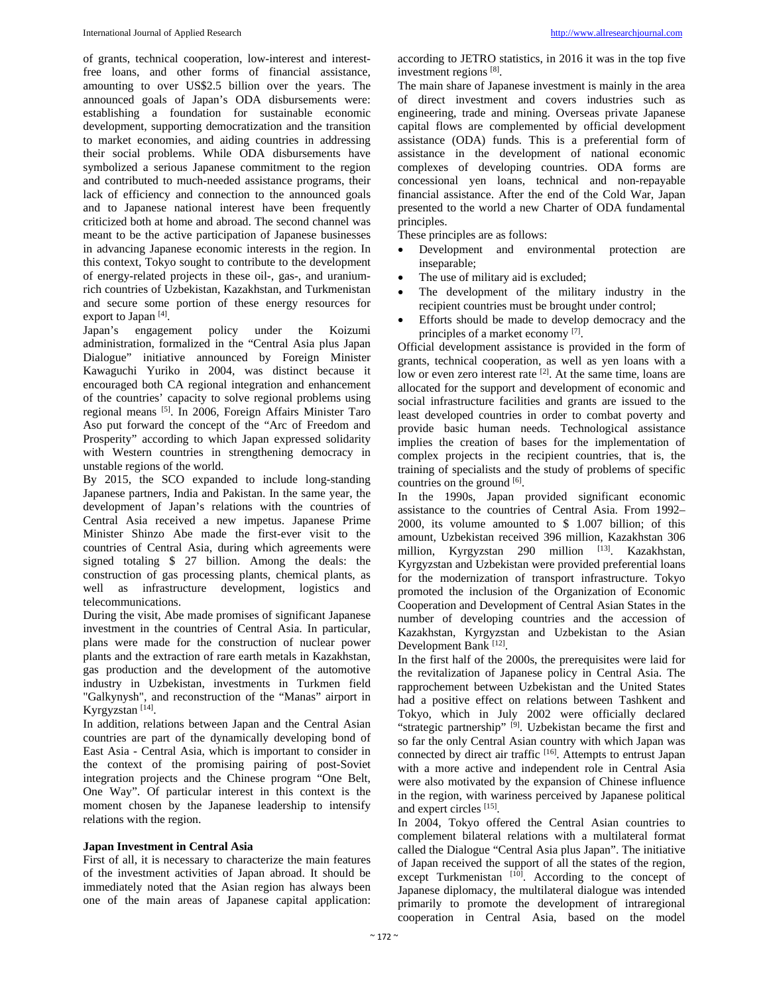of grants, technical cooperation, low-interest and interestfree loans, and other forms of financial assistance, amounting to over US\$2.5 billion over the years. The announced goals of Japan's ODA disbursements were: establishing a foundation for sustainable economic development, supporting democratization and the transition to market economies, and aiding countries in addressing their social problems. While ODA disbursements have symbolized a serious Japanese commitment to the region and contributed to much-needed assistance programs, their lack of efficiency and connection to the announced goals and to Japanese national interest have been frequently criticized both at home and abroad. The second channel was meant to be the active participation of Japanese businesses in advancing Japanese economic interests in the region. In this context, Tokyo sought to contribute to the development of energy-related projects in these oil-, gas-, and uraniumrich countries of Uzbekistan, Kazakhstan, and Turkmenistan and secure some portion of these energy resources for export to Japan<sup>[4]</sup>.

Japan's engagement policy under the Koizumi administration, formalized in the "Central Asia plus Japan Dialogue" initiative announced by Foreign Minister Kawaguchi Yuriko in 2004, was distinct because it encouraged both CA regional integration and enhancement of the countries' capacity to solve regional problems using regional means [5]. In 2006, Foreign Affairs Minister Taro Aso put forward the concept of the "Arc of Freedom and Prosperity" according to which Japan expressed solidarity with Western countries in strengthening democracy in unstable regions of the world.

By 2015, the SCO expanded to include long-standing Japanese partners, India and Pakistan. In the same year, the development of Japan's relations with the countries of Central Asia received a new impetus. Japanese Prime Minister Shinzo Abe made the first-ever visit to the countries of Central Asia, during which agreements were signed totaling \$ 27 billion. Among the deals: the construction of gas processing plants, chemical plants, as well as infrastructure development, logistics and telecommunications.

During the visit, Abe made promises of significant Japanese investment in the countries of Central Asia. In particular, plans were made for the construction of nuclear power plants and the extraction of rare earth metals in Kazakhstan, gas production and the development of the automotive industry in Uzbekistan, investments in Turkmen field "Galkynysh", and reconstruction of the "Manas" airport in Kyrgyzstan<sup>[14]</sup>.

In addition, relations between Japan and the Central Asian countries are part of the dynamically developing bond of East Asia - Central Asia, which is important to consider in the context of the promising pairing of post-Soviet integration projects and the Chinese program "One Belt, One Way". Of particular interest in this context is the moment chosen by the Japanese leadership to intensify relations with the region.

# **Japan Investment in Central Asia**

First of all, it is necessary to characterize the main features of the investment activities of Japan abroad. It should be immediately noted that the Asian region has always been one of the main areas of Japanese capital application:

according to JETRO statistics, in 2016 it was in the top five investment regions [8].

The main share of Japanese investment is mainly in the area of direct investment and covers industries such as engineering, trade and mining. Overseas private Japanese capital flows are complemented by official development assistance (ODA) funds. This is a preferential form of assistance in the development of national economic complexes of developing countries. ODA forms are concessional yen loans, technical and non-repayable financial assistance. After the end of the Cold War, Japan presented to the world a new Charter of ODA fundamental principles.

These principles are as follows:

- Development and environmental protection are inseparable;
- The use of military aid is excluded;
- The development of the military industry in the recipient countries must be brought under control;
- Efforts should be made to develop democracy and the principles of a market economy [7].

Official development assistance is provided in the form of grants, technical cooperation, as well as yen loans with a low or even zero interest rate <sup>[2]</sup>. At the same time, loans are allocated for the support and development of economic and social infrastructure facilities and grants are issued to the least developed countries in order to combat poverty and provide basic human needs. Technological assistance implies the creation of bases for the implementation of complex projects in the recipient countries, that is, the training of specialists and the study of problems of specific countries on the ground [6].

In the 1990s, Japan provided significant economic assistance to the countries of Central Asia. From 1992– 2000, its volume amounted to \$ 1.007 billion; of this amount, Uzbekistan received 396 million, Kazakhstan 306 million, Kyrgyzstan 290 million <sup>[13]</sup>. Kazakhstan, Kyrgyzstan and Uzbekistan were provided preferential loans for the modernization of transport infrastructure. Tokyo promoted the inclusion of the Organization of Economic Cooperation and Development of Central Asian States in the number of developing countries and the accession of Kazakhstan, Kyrgyzstan and Uzbekistan to the Asian Development Bank [12].

In the first half of the 2000s, the prerequisites were laid for the revitalization of Japanese policy in Central Asia. The rapprochement between Uzbekistan and the United States had a positive effect on relations between Tashkent and Tokyo, which in July 2002 were officially declared "strategic partnership" [9]. Uzbekistan became the first and so far the only Central Asian country with which Japan was connected by direct air traffic [16]. Attempts to entrust Japan with a more active and independent role in Central Asia were also motivated by the expansion of Chinese influence in the region, with wariness perceived by Japanese political and expert circles [15].

In 2004, Tokyo offered the Central Asian countries to complement bilateral relations with a multilateral format called the Dialogue "Central Asia plus Japan". The initiative of Japan received the support of all the states of the region, except Turkmenistan [10]. According to the concept of Japanese diplomacy, the multilateral dialogue was intended primarily to promote the development of intraregional cooperation in Central Asia, based on the model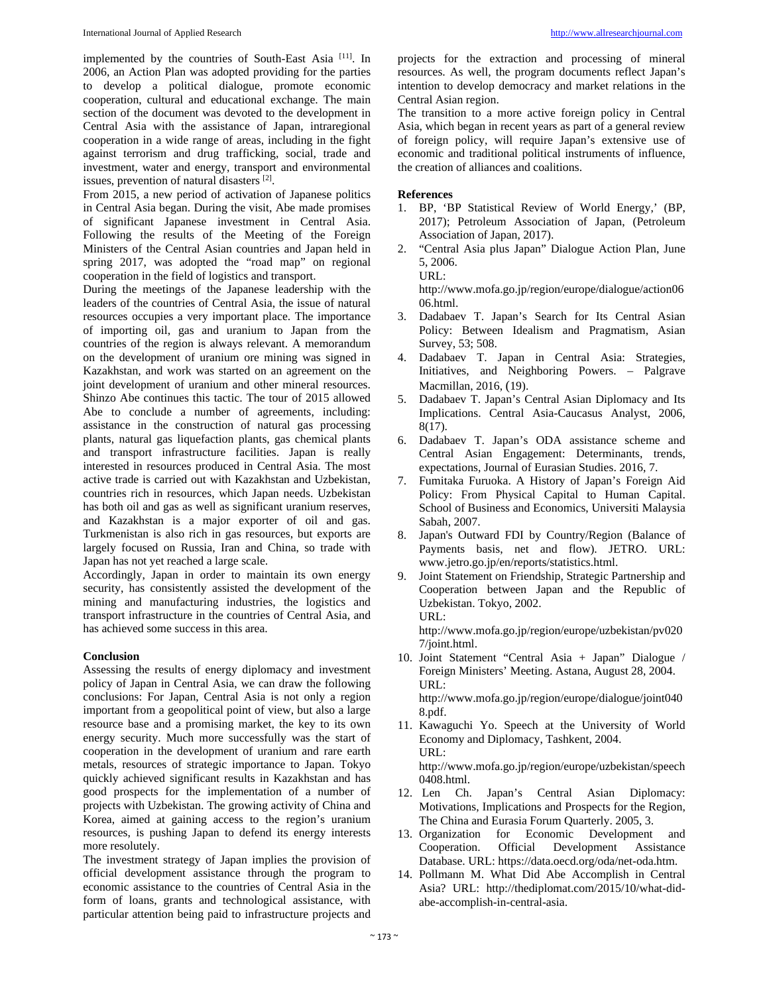implemented by the countries of South-East Asia [11]. In 2006, an Action Plan was adopted providing for the parties to develop a political dialogue, promote economic cooperation, cultural and educational exchange. The main section of the document was devoted to the development in Central Asia with the assistance of Japan, intraregional cooperation in a wide range of areas, including in the fight against terrorism and drug trafficking, social, trade and investment, water and energy, transport and environmental issues, prevention of natural disasters [2].

From 2015, a new period of activation of Japanese politics in Central Asia began. During the visit, Abe made promises of significant Japanese investment in Central Asia. Following the results of the Meeting of the Foreign Ministers of the Central Asian countries and Japan held in spring 2017, was adopted the "road map" on regional cooperation in the field of logistics and transport.

During the meetings of the Japanese leadership with the leaders of the countries of Central Asia, the issue of natural resources occupies a very important place. The importance of importing oil, gas and uranium to Japan from the countries of the region is always relevant. A memorandum on the development of uranium ore mining was signed in Kazakhstan, and work was started on an agreement on the joint development of uranium and other mineral resources. Shinzo Abe continues this tactic. The tour of 2015 allowed Abe to conclude a number of agreements, including: assistance in the construction of natural gas processing plants, natural gas liquefaction plants, gas chemical plants and transport infrastructure facilities. Japan is really interested in resources produced in Central Asia. The most active trade is carried out with Kazakhstan and Uzbekistan, countries rich in resources, which Japan needs. Uzbekistan has both oil and gas as well as significant uranium reserves, and Kazakhstan is a major exporter of oil and gas. Turkmenistan is also rich in gas resources, but exports are largely focused on Russia, Iran and China, so trade with Japan has not yet reached a large scale.

Accordingly, Japan in order to maintain its own energy security, has consistently assisted the development of the mining and manufacturing industries, the logistics and transport infrastructure in the countries of Central Asia, and has achieved some success in this area.

#### **Conclusion**

Assessing the results of energy diplomacy and investment policy of Japan in Central Asia, we can draw the following conclusions: For Japan, Central Asia is not only a region important from a geopolitical point of view, but also a large resource base and a promising market, the key to its own energy security. Much more successfully was the start of cooperation in the development of uranium and rare earth metals, resources of strategic importance to Japan. Tokyo quickly achieved significant results in Kazakhstan and has good prospects for the implementation of a number of projects with Uzbekistan. The growing activity of China and Korea, aimed at gaining access to the region's uranium resources, is pushing Japan to defend its energy interests more resolutely.

The investment strategy of Japan implies the provision of official development assistance through the program to economic assistance to the countries of Central Asia in the form of loans, grants and technological assistance, with particular attention being paid to infrastructure projects and

projects for the extraction and processing of mineral resources. As well, the program documents reflect Japan's intention to develop democracy and market relations in the Central Asian region.

The transition to a more active foreign policy in Central Asia, which began in recent years as part of a general review of foreign policy, will require Japan's extensive use of economic and traditional political instruments of influence, the creation of alliances and coalitions.

#### **References**

- 1. BP, 'BP Statistical Review of World Energy,' (BP, 2017); Petroleum Association of Japan, (Petroleum Association of Japan, 2017).
- 2. "Central Asia plus Japan" Dialogue Action Plan, June 5, 2006. URL:

http://www.mofa.go.jp/region/europe/dialogue/action06 06.html.

- 3. Dadabaev T. Japan's Search for Its Central Asian Policy: Between Idealism and Pragmatism, Asian Survey, 53; 508.
- 4. Dadabaev T. Japan in Central Asia: Strategies, Initiatives, and Neighboring Powers. – Palgrave Macmillan, 2016, (19).
- 5. Dadabaev T. Japan's Central Asian Diplomacy and Its Implications. Central Asia-Caucasus Analyst, 2006, 8(17).
- 6. Dadabaev T. Japan's ODA assistance scheme and Central Asian Engagement: Determinants, trends, expectations, Journal of Eurasian Studies. 2016, 7.
- 7. Fumitaka Furuoka. A History of Japan's Foreign Aid Policy: From Physical Capital to Human Capital. School of Business and Economics, Universiti Malaysia Sabah, 2007.
- 8. Japan's Outward FDI by Country/Region (Balance of Payments basis, net and flow). JETRO. URL: www.jetro.go.jp/en/reports/statistics.html.
- 9. Joint Statement on Friendship, Strategic Partnership and Cooperation between Japan and the Republic of Uzbekistan. Tokyo, 2002. URL: http://www.mofa.go.jp/region/europe/uzbekistan/pv020

7/joint.html.

10. Joint Statement "Central Asia + Japan" Dialogue / Foreign Ministers' Meeting. Astana, August 28, 2004. URL:

http://www.mofa.go.jp/region/europe/dialogue/joint040 8.pdf.

11. Kawaguchi Yo. Speech at the University of World Economy and Diplomacy, Tashkent, 2004. URL:

http://www.mofa.go.jp/region/europe/uzbekistan/speech 0408.html.

- 12. Len Ch. Japan's Central Asian Diplomacy: Motivations, Implications and Prospects for the Region, The China and Eurasia Forum Quarterly. 2005, 3.
- 13. Organization for Economic Development and Cooperation. Official Development Assistance Database. URL: https://data.oecd.org/oda/net-oda.htm.
- 14. Pollmann M. What Did Abe Accomplish in Central Asia? URL: http://thediplomat.com/2015/10/what-didabe-accomplish-in-central-asia.